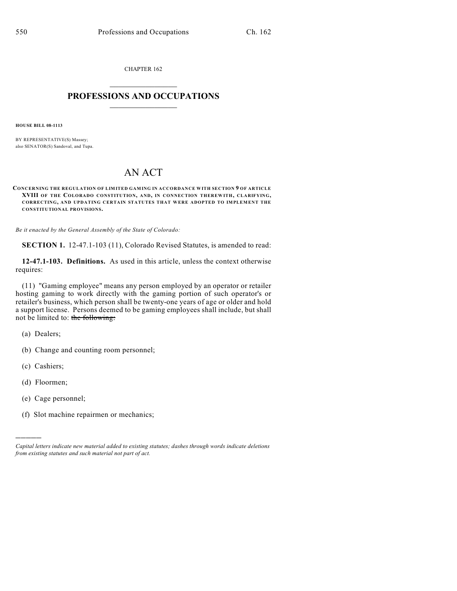CHAPTER 162

## $\mathcal{L}_\text{max}$  . The set of the set of the set of the set of the set of the set of the set of the set of the set of the set of the set of the set of the set of the set of the set of the set of the set of the set of the set **PROFESSIONS AND OCCUPATIONS**  $\frac{1}{2}$  ,  $\frac{1}{2}$  ,  $\frac{1}{2}$  ,  $\frac{1}{2}$  ,  $\frac{1}{2}$  ,  $\frac{1}{2}$

**HOUSE BILL 08-1113**

BY REPRESENTATIVE(S) Massey; also SENATOR(S) Sandoval, and Tupa.

## AN ACT

**CONCERNING THE REGULATION OF LIMITED GAMING IN ACCORDANCE WITH SECTION 9 OF ARTICLE XVIII OF THE COLORADO CONSTITUTION, AND, IN CONNECTION THEREWITH, CLARIFYING, CORRECTING, AND UPDATING CERTAIN STATUTES THAT WERE ADOPTED TO IMPLEMENT THE CONSTITUTIONAL PROVISIONS.**

*Be it enacted by the General Assembly of the State of Colorado:*

**SECTION 1.** 12-47.1-103 (11), Colorado Revised Statutes, is amended to read:

**12-47.1-103. Definitions.** As used in this article, unless the context otherwise requires:

(11) "Gaming employee" means any person employed by an operator or retailer hosting gaming to work directly with the gaming portion of such operator's or retailer's business, which person shall be twenty-one years of age or older and hold a support license. Persons deemed to be gaming employees shall include, but shall not be limited to: the following:

(a) Dealers;

- (b) Change and counting room personnel;
- (c) Cashiers;
- (d) Floormen;

)))))

- (e) Cage personnel;
- (f) Slot machine repairmen or mechanics;

*Capital letters indicate new material added to existing statutes; dashes through words indicate deletions from existing statutes and such material not part of act.*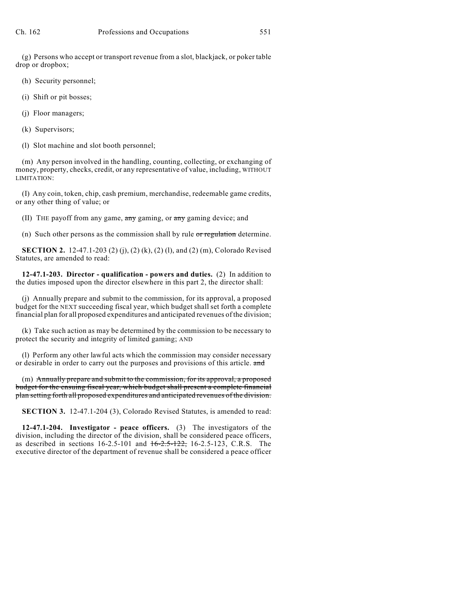(g) Persons who accept or transport revenue from a slot, blackjack, or poker table drop or dropbox;

- (h) Security personnel;
- (i) Shift or pit bosses;
- (j) Floor managers;
- (k) Supervisors;
- (l) Slot machine and slot booth personnel;

(m) Any person involved in the handling, counting, collecting, or exchanging of money, property, checks, credit, or any representative of value, including, WITHOUT LIMITATION:

(I) Any coin, token, chip, cash premium, merchandise, redeemable game credits, or any other thing of value; or

(II) THE payoff from any game,  $\frac{1}{2}$  gaming, or  $\frac{1}{2}$  gaming device; and

(n) Such other persons as the commission shall by rule or regulation determine.

**SECTION 2.** 12-47.1-203 (2) (j), (2) (k), (2) (l), and (2) (m), Colorado Revised Statutes, are amended to read:

**12-47.1-203. Director - qualification - powers and duties.** (2) In addition to the duties imposed upon the director elsewhere in this part 2, the director shall:

(j) Annually prepare and submit to the commission, for its approval, a proposed budget for the NEXT succeeding fiscal year, which budget shall set forth a complete financial plan for all proposed expenditures and anticipated revenues of the division;

(k) Take such action as may be determined by the commission to be necessary to protect the security and integrity of limited gaming; AND

(l) Perform any other lawful acts which the commission may consider necessary or desirable in order to carry out the purposes and provisions of this article. and

(m) Annually prepare and submit to the commission, for its approval, a proposed budget for the ensuing fiscal year, which budget shall present a complete financial plan setting forth all proposed expenditures and anticipated revenues of the division.

**SECTION 3.** 12-47.1-204 (3), Colorado Revised Statutes, is amended to read:

**12-47.1-204. Investigator - peace officers.** (3) The investigators of the division, including the director of the division, shall be considered peace officers, as described in sections  $16-2.5-101$  and  $16-2.5-122$ ,  $16-2.5-123$ , C.R.S. The executive director of the department of revenue shall be considered a peace officer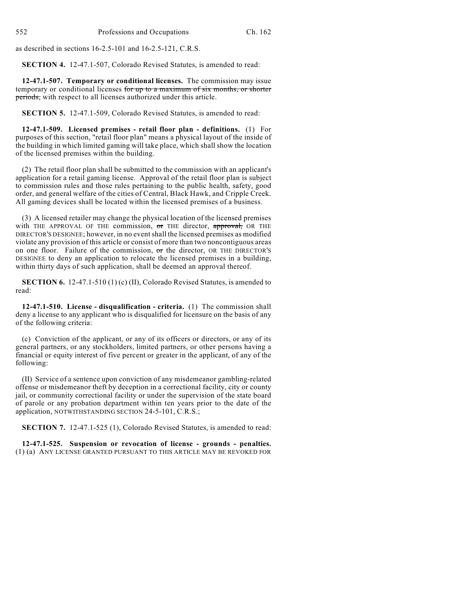as described in sections 16-2.5-101 and 16-2.5-121, C.R.S.

**SECTION 4.** 12-47.1-507, Colorado Revised Statutes, is amended to read:

**12-47.1-507. Temporary or conditional licenses.** The commission may issue temporary or conditional licenses for up to a maximum of six months, or shorter periods, with respect to all licenses authorized under this article.

**SECTION 5.** 12-47.1-509, Colorado Revised Statutes, is amended to read:

**12-47.1-509. Licensed premises - retail floor plan - definitions.** (1) For purposes of this section, "retail floor plan" means a physical layout of the inside of the building in which limited gaming will take place, which shall show the location of the licensed premises within the building.

(2) The retail floor plan shall be submitted to the commission with an applicant's application for a retail gaming license. Approval of the retail floor plan is subject to commission rules and those rules pertaining to the public health, safety, good order, and general welfare of the cities of Central, Black Hawk, and Cripple Creek. All gaming devices shall be located within the licensed premises of a business.

(3) A licensed retailer may change the physical location of the licensed premises with THE APPROVAL OF THE commission, or THE director, approval, OR THE DIRECTOR'S DESIGNEE; however, in no event shall the licensed premises as modified violate any provision of this article or consist of more than two noncontiguous areas on one floor. Failure of the commission, or the director, OR THE DIRECTOR'S DESIGNEE to deny an application to relocate the licensed premises in a building, within thirty days of such application, shall be deemed an approval thereof.

**SECTION 6.** 12-47.1-510 (1) (c) (II), Colorado Revised Statutes, is amended to read:

**12-47.1-510. License - disqualification - criteria.** (1) The commission shall deny a license to any applicant who is disqualified for licensure on the basis of any of the following criteria:

(c) Conviction of the applicant, or any of its officers or directors, or any of its general partners, or any stockholders, limited partners, or other persons having a financial or equity interest of five percent or greater in the applicant, of any of the following:

(II) Service of a sentence upon conviction of any misdemeanor gambling-related offense or misdemeanor theft by deception in a correctional facility, city or county jail, or community correctional facility or under the supervision of the state board of parole or any probation department within ten years prior to the date of the application, NOTWITHSTANDING SECTION 24-5-101, C.R.S.;

**SECTION 7.** 12-47.1-525 (1), Colorado Revised Statutes, is amended to read:

**12-47.1-525. Suspension or revocation of license - grounds - penalties.** (1) (a) ANY LICENSE GRANTED PURSUANT TO THIS ARTICLE MAY BE REVOKED FOR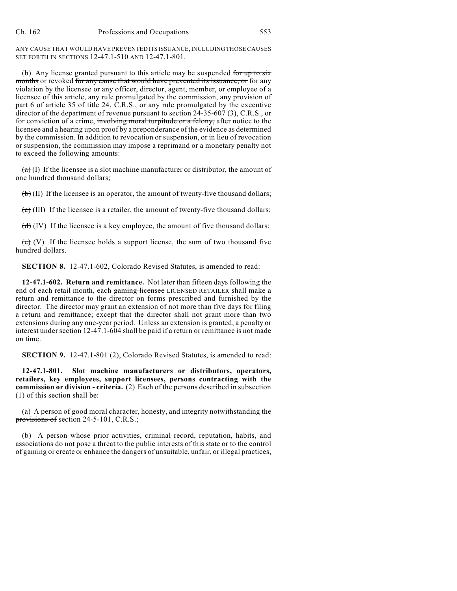ANY CAUSE THAT WOULD HAVE PREVENTED ITS ISSUANCE, INCLUDING THOSE CAUSES SET FORTH IN SECTIONS 12-47.1-510 AND 12-47.1-801.

(b) Any license granted pursuant to this article may be suspended for up to  $s$ ix months or revoked for any cause that would have prevented its issuance, or for any violation by the licensee or any officer, director, agent, member, or employee of a licensee of this article, any rule promulgated by the commission, any provision of part 6 of article 35 of title 24, C.R.S., or any rule promulgated by the executive director of the department of revenue pursuant to section 24-35-607 (3), C.R.S., or for conviction of a crime, involving moral turpitude or a felony, after notice to the licensee and a hearing upon proof by a preponderance of the evidence as determined by the commission. In addition to revocation or suspension, or in lieu of revocation or suspension, the commission may impose a reprimand or a monetary penalty not to exceed the following amounts:

 $\overrightarrow{(a)}$  (I) If the licensee is a slot machine manufacturer or distributor, the amount of one hundred thousand dollars;

 $\left(\frac{b}{b}\right)$  (II) If the licensee is an operator, the amount of twenty-five thousand dollars;

 $\overline{(c)}$  (III) If the licensee is a retailer, the amount of twenty-five thousand dollars;

 $(d)$  (IV) If the licensee is a key employee, the amount of five thousand dollars;

 $(e)$  (V) If the licensee holds a support license, the sum of two thousand five hundred dollars.

**SECTION 8.** 12-47.1-602, Colorado Revised Statutes, is amended to read:

**12-47.1-602. Return and remittance.** Not later than fifteen days following the end of each retail month, each gaming licensee LICENSED RETAILER shall make a return and remittance to the director on forms prescribed and furnished by the director. The director may grant an extension of not more than five days for filing a return and remittance; except that the director shall not grant more than two extensions during any one-year period. Unless an extension is granted, a penalty or interest under section 12-47.1-604 shall be paid if a return or remittance is not made on time.

**SECTION 9.** 12-47.1-801 (2), Colorado Revised Statutes, is amended to read:

**12-47.1-801. Slot machine manufacturers or distributors, operators, retailers, key employees, support licensees, persons contracting with the commission or division - criteria.** (2) Each of the persons described in subsection (1) of this section shall be:

(a) A person of good moral character, honesty, and integrity notwithstanding the provisions of section 24-5-101, C.R.S.;

(b) A person whose prior activities, criminal record, reputation, habits, and associations do not pose a threat to the public interests of this state or to the control of gaming or create or enhance the dangers of unsuitable, unfair, or illegal practices,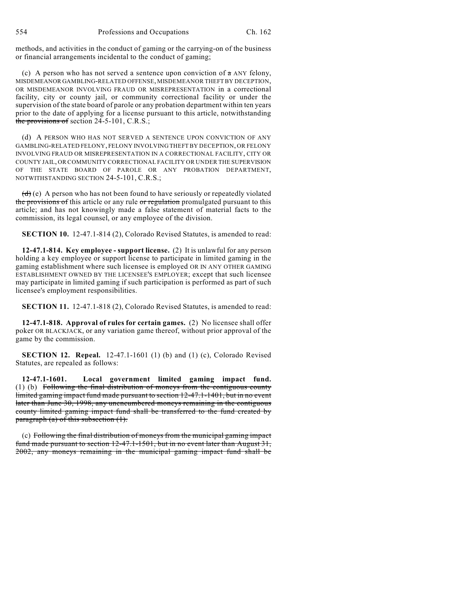methods, and activities in the conduct of gaming or the carrying-on of the business or financial arrangements incidental to the conduct of gaming;

(c) A person who has not served a sentence upon conviction of  $\pi$  ANY felony, MISDEMEANOR GAMBLING-RELATED OFFENSE, MISDEMEANOR THEFT BY DECEPTION, OR MISDEMEANOR INVOLVING FRAUD OR MISREPRESENTATION in a correctional facility, city or county jail, or community correctional facility or under the supervision of the state board of parole or any probation department within ten years prior to the date of applying for a license pursuant to this article, notwithstanding the provisions of section 24-5-101, C.R.S.;

(d) A PERSON WHO HAS NOT SERVED A SENTENCE UPON CONVICTION OF ANY GAMBLING-RELATED FELONY, FELONY INVOLVING THEFT BY DECEPTION, OR FELONY INVOLVING FRAUD OR MISREPRESENTATION IN A CORRECTIONAL FACILITY, CITY OR COUNTY JAIL, OR COMMUNITY CORRECTIONAL FACILITY OR UNDER THE SUPERVISION OF THE STATE BOARD OF PAROLE OR ANY PROBATION DEPARTMENT, NOTWITHSTANDING SECTION 24-5-101, C.R.S.;

 $(d)$  (e) A person who has not been found to have seriously or repeatedly violated the provisions of this article or any rule or regulation promulgated pursuant to this article; and has not knowingly made a false statement of material facts to the commission, its legal counsel, or any employee of the division.

**SECTION 10.** 12-47.1-814 (2), Colorado Revised Statutes, is amended to read:

**12-47.1-814. Key employee - support license.** (2) It is unlawful for any person holding a key employee or support license to participate in limited gaming in the gaming establishment where such licensee is employed OR IN ANY OTHER GAMING ESTABLISHMENT OWNED BY THE LICENSEE'S EMPLOYER; except that such licensee may participate in limited gaming if such participation is performed as part of such licensee's employment responsibilities.

**SECTION 11.** 12-47.1-818 (2), Colorado Revised Statutes, is amended to read:

**12-47.1-818. Approval of rules for certain games.** (2) No licensee shall offer poker OR BLACKJACK, or any variation game thereof, without prior approval of the game by the commission.

**SECTION 12. Repeal.** 12-47.1-1601 (1) (b) and (1) (c), Colorado Revised Statutes, are repealed as follows:

**12-47.1-1601. Local government limited gaming impact fund.** (1) (b) Following the final distribution of moneys from the contiguous county limited gaming impact fund made pursuant to section 12-47.1-1401, but in no event later than June 30, 1998, any unencumbered moneys remaining in the contiguous county limited gaming impact fund shall be transferred to the fund created by  $parazraph (a) of this subsection (1).$ 

(c) Following the final distribution of moneys from the municipal gaming impact fund made pursuant to section 12-47.1-1501, but in no event later than August 31, 2002, any moneys remaining in the municipal gaming impact fund shall be